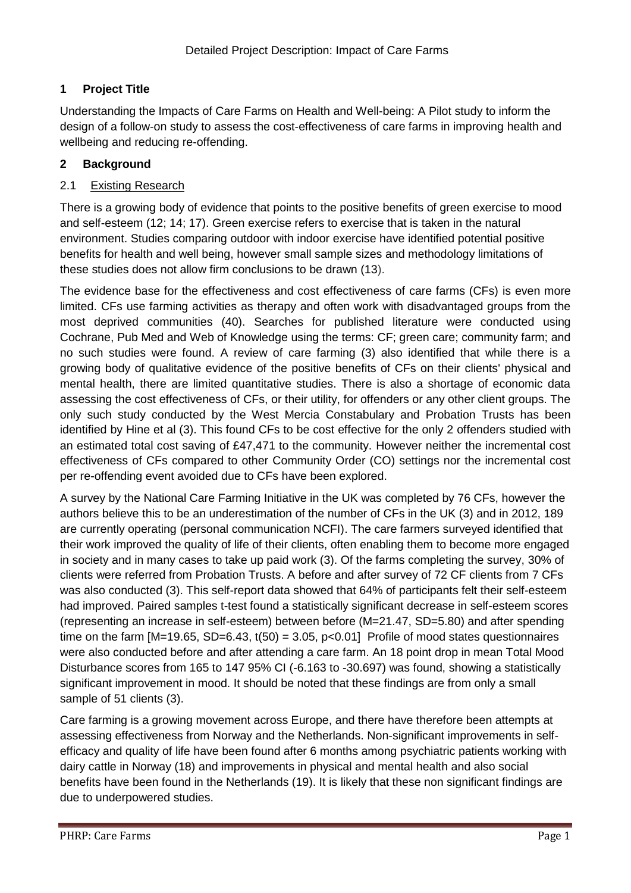# **1 Project Title**

Understanding the Impacts of Care Farms on Health and Well-being: A Pilot study to inform the design of a follow-on study to assess the cost-effectiveness of care farms in improving health and wellbeing and reducing re-offending.

# **2 Background**

# 2.1 Existing Research

There is a growing body of evidence that points to the positive benefits of green exercise to mood and self-esteem (12; 14; 17). Green exercise refers to exercise that is taken in the natural environment. Studies comparing outdoor with indoor exercise have identified potential positive benefits for health and well being, however small sample sizes and methodology limitations of these studies does not allow firm conclusions to be drawn (13).

The evidence base for the effectiveness and cost effectiveness of care farms (CFs) is even more limited. CFs use farming activities as therapy and often work with disadvantaged groups from the most deprived communities (40). Searches for published literature were conducted using Cochrane, Pub Med and Web of Knowledge using the terms: CF; green care; community farm; and no such studies were found. A review of care farming (3) also identified that while there is a growing body of qualitative evidence of the positive benefits of CFs on their clients' physical and mental health, there are limited quantitative studies. There is also a shortage of economic data assessing the cost effectiveness of CFs, or their utility, for offenders or any other client groups. The only such study conducted by the West Mercia Constabulary and Probation Trusts has been identified by Hine et al (3). This found CFs to be cost effective for the only 2 offenders studied with an estimated total cost saving of £47,471 to the community. However neither the incremental cost effectiveness of CFs compared to other Community Order (CO) settings nor the incremental cost per re-offending event avoided due to CFs have been explored.

A survey by the National Care Farming Initiative in the UK was completed by 76 CFs, however the authors believe this to be an underestimation of the number of CFs in the UK (3) and in 2012, 189 are currently operating (personal communication NCFI). The care farmers surveyed identified that their work improved the quality of life of their clients, often enabling them to become more engaged in society and in many cases to take up paid work (3). Of the farms completing the survey, 30% of clients were referred from Probation Trusts. A before and after survey of 72 CF clients from 7 CFs was also conducted (3). This self-report data showed that 64% of participants felt their self-esteem had improved. Paired samples t-test found a statistically significant decrease in self-esteem scores (representing an increase in self-esteem) between before (M=21.47, SD=5.80) and after spending time on the farm  $[M=19.65, SD=6.43, t(50) = 3.05, p<0.01]$  Profile of mood states questionnaires were also conducted before and after attending a care farm. An 18 point drop in mean Total Mood Disturbance scores from 165 to 147 95% CI (-6.163 to -30.697) was found, showing a statistically significant improvement in mood. It should be noted that these findings are from only a small sample of 51 clients (3).

Care farming is a growing movement across Europe, and there have therefore been attempts at assessing effectiveness from Norway and the Netherlands. Non-significant improvements in selfefficacy and quality of life have been found after 6 months among psychiatric patients working with dairy cattle in Norway (18) and improvements in physical and mental health and also social benefits have been found in the Netherlands (19). It is likely that these non significant findings are due to underpowered studies.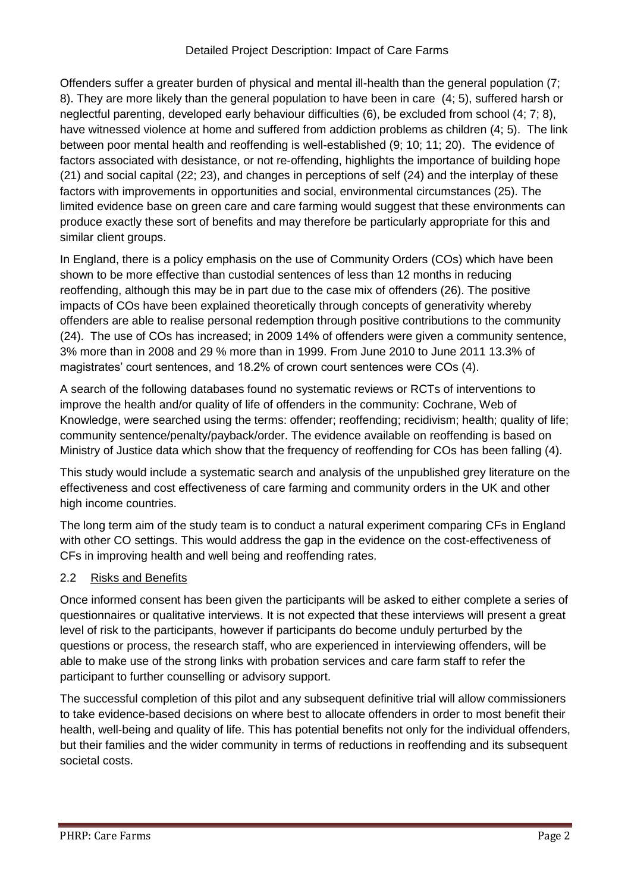Offenders suffer a greater burden of physical and mental ill-health than the general population (7; 8). They are more likely than the general population to have been in care (4; 5), suffered harsh or neglectful parenting, developed early behaviour difficulties (6), be excluded from school (4; 7; 8), have witnessed violence at home and suffered from addiction problems as children (4; 5). The link between poor mental health and reoffending is well-established (9; 10; 11; 20). The evidence of factors associated with desistance, or not re-offending, highlights the importance of building hope (21) and social capital (22; 23), and changes in perceptions of self (24) and the interplay of these factors with improvements in opportunities and social, environmental circumstances (25). The limited evidence base on green care and care farming would suggest that these environments can produce exactly these sort of benefits and may therefore be particularly appropriate for this and similar client groups.

In England, there is a policy emphasis on the use of Community Orders (COs) which have been shown to be more effective than custodial sentences of less than 12 months in reducing reoffending, although this may be in part due to the case mix of offenders (26). The positive impacts of COs have been explained theoretically through concepts of generativity whereby offenders are able to realise personal redemption through positive contributions to the community (24). The use of COs has increased; in 2009 14% of offenders were given a community sentence, 3% more than in 2008 and 29 % more than in 1999. From June 2010 to June 2011 13.3% of magistrates' court sentences, and 18.2% of crown court sentences were COs (4).

A search of the following databases found no systematic reviews or RCTs of interventions to improve the health and/or quality of life of offenders in the community: Cochrane, Web of Knowledge, were searched using the terms: offender; reoffending; recidivism; health; quality of life; community sentence/penalty/payback/order. The evidence available on reoffending is based on Ministry of Justice data which show that the frequency of reoffending for COs has been falling (4).

This study would include a systematic search and analysis of the unpublished grey literature on the effectiveness and cost effectiveness of care farming and community orders in the UK and other high income countries.

The long term aim of the study team is to conduct a natural experiment comparing CFs in England with other CO settings. This would address the gap in the evidence on the cost-effectiveness of CFs in improving health and well being and reoffending rates.

# 2.2 Risks and Benefits

Once informed consent has been given the participants will be asked to either complete a series of questionnaires or qualitative interviews. It is not expected that these interviews will present a great level of risk to the participants, however if participants do become unduly perturbed by the questions or process, the research staff, who are experienced in interviewing offenders, will be able to make use of the strong links with probation services and care farm staff to refer the participant to further counselling or advisory support.

The successful completion of this pilot and any subsequent definitive trial will allow commissioners to take evidence-based decisions on where best to allocate offenders in order to most benefit their health, well-being and quality of life. This has potential benefits not only for the individual offenders, but their families and the wider community in terms of reductions in reoffending and its subsequent societal costs.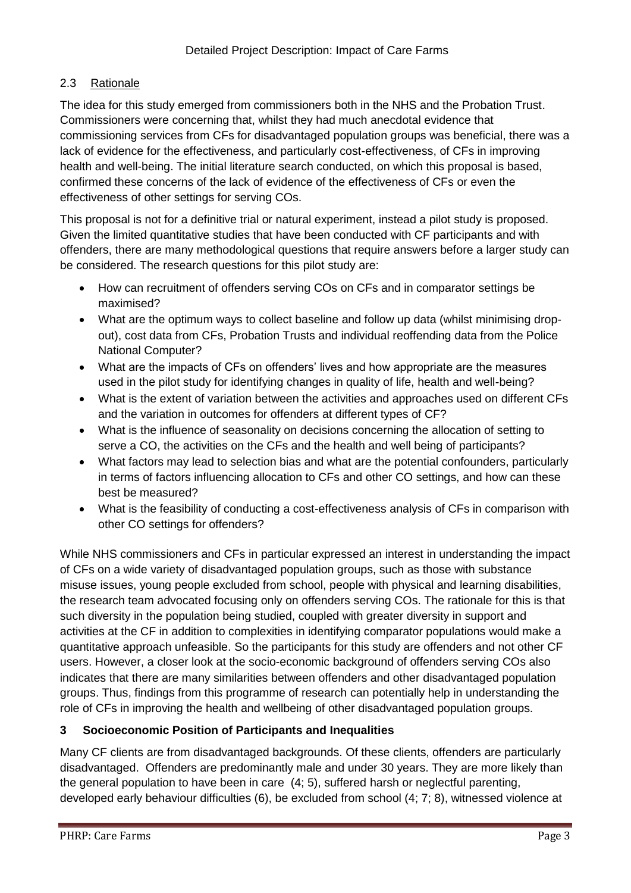## 2.3 Rationale

The idea for this study emerged from commissioners both in the NHS and the Probation Trust. Commissioners were concerning that, whilst they had much anecdotal evidence that commissioning services from CFs for disadvantaged population groups was beneficial, there was a lack of evidence for the effectiveness, and particularly cost-effectiveness, of CFs in improving health and well-being. The initial literature search conducted, on which this proposal is based, confirmed these concerns of the lack of evidence of the effectiveness of CFs or even the effectiveness of other settings for serving COs.

This proposal is not for a definitive trial or natural experiment, instead a pilot study is proposed. Given the limited quantitative studies that have been conducted with CF participants and with offenders, there are many methodological questions that require answers before a larger study can be considered. The research questions for this pilot study are:

- How can recruitment of offenders serving COs on CFs and in comparator settings be maximised?
- What are the optimum ways to collect baseline and follow up data (whilst minimising dropout), cost data from CFs, Probation Trusts and individual reoffending data from the Police National Computer?
- What are the impacts of CFs on offenders' lives and how appropriate are the measures used in the pilot study for identifying changes in quality of life, health and well-being?
- What is the extent of variation between the activities and approaches used on different CFs and the variation in outcomes for offenders at different types of CF?
- What is the influence of seasonality on decisions concerning the allocation of setting to serve a CO, the activities on the CFs and the health and well being of participants?
- What factors may lead to selection bias and what are the potential confounders, particularly in terms of factors influencing allocation to CFs and other CO settings, and how can these best be measured?
- What is the feasibility of conducting a cost-effectiveness analysis of CFs in comparison with other CO settings for offenders?

While NHS commissioners and CFs in particular expressed an interest in understanding the impact of CFs on a wide variety of disadvantaged population groups, such as those with substance misuse issues, young people excluded from school, people with physical and learning disabilities, the research team advocated focusing only on offenders serving COs. The rationale for this is that such diversity in the population being studied, coupled with greater diversity in support and activities at the CF in addition to complexities in identifying comparator populations would make a quantitative approach unfeasible. So the participants for this study are offenders and not other CF users. However, a closer look at the socio-economic background of offenders serving COs also indicates that there are many similarities between offenders and other disadvantaged population groups. Thus, findings from this programme of research can potentially help in understanding the role of CFs in improving the health and wellbeing of other disadvantaged population groups.

# **3 Socioeconomic Position of Participants and Inequalities**

Many CF clients are from disadvantaged backgrounds. Of these clients, offenders are particularly disadvantaged. Offenders are predominantly male and under 30 years. They are more likely than the general population to have been in care (4; 5), suffered harsh or neglectful parenting, developed early behaviour difficulties (6), be excluded from school (4; 7; 8), witnessed violence at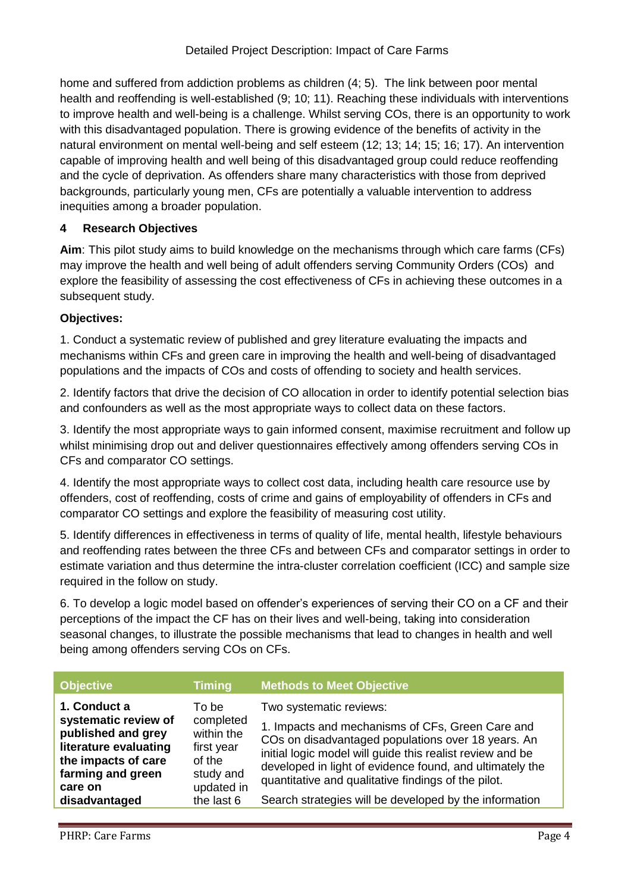home and suffered from addiction problems as children (4; 5). The link between poor mental health and reoffending is well-established (9; 10; 11). Reaching these individuals with interventions to improve health and well-being is a challenge. Whilst serving COs, there is an opportunity to work with this disadvantaged population. There is growing evidence of the benefits of activity in the natural environment on mental well-being and self esteem (12; 13; 14; 15; 16; 17). An intervention capable of improving health and well being of this disadvantaged group could reduce reoffending and the cycle of deprivation. As offenders share many characteristics with those from deprived backgrounds, particularly young men, CFs are potentially a valuable intervention to address inequities among a broader population.

## **4 Research Objectives**

**Aim**: This pilot study aims to build knowledge on the mechanisms through which care farms (CFs) may improve the health and well being of adult offenders serving Community Orders (COs) and explore the feasibility of assessing the cost effectiveness of CFs in achieving these outcomes in a subsequent study.

## **Objectives:**

1. Conduct a systematic review of published and grey literature evaluating the impacts and mechanisms within CFs and green care in improving the health and well-being of disadvantaged populations and the impacts of COs and costs of offending to society and health services.

2. Identify factors that drive the decision of CO allocation in order to identify potential selection bias and confounders as well as the most appropriate ways to collect data on these factors.

3. Identify the most appropriate ways to gain informed consent, maximise recruitment and follow up whilst minimising drop out and deliver questionnaires effectively among offenders serving COs in CFs and comparator CO settings.

4. Identify the most appropriate ways to collect cost data, including health care resource use by offenders, cost of reoffending, costs of crime and gains of employability of offenders in CFs and comparator CO settings and explore the feasibility of measuring cost utility.

5. Identify differences in effectiveness in terms of quality of life, mental health, lifestyle behaviours and reoffending rates between the three CFs and between CFs and comparator settings in order to estimate variation and thus determine the intra-cluster correlation coefficient (ICC) and sample size required in the follow on study.

6. To develop a logic model based on offender's experiences of serving their CO on a CF and their perceptions of the impact the CF has on their lives and well-being, taking into consideration seasonal changes, to illustrate the possible mechanisms that lead to changes in health and well being among offenders serving COs on CFs.

| <b>Objective</b>                                                                                                                                            | <b>Timing</b>                                                                                      | <b>Methods to Meet Objective</b>                                                                                                                                                                                                                                                                                                                                            |
|-------------------------------------------------------------------------------------------------------------------------------------------------------------|----------------------------------------------------------------------------------------------------|-----------------------------------------------------------------------------------------------------------------------------------------------------------------------------------------------------------------------------------------------------------------------------------------------------------------------------------------------------------------------------|
| 1. Conduct a<br>systematic review of<br>published and grey<br>literature evaluating<br>the impacts of care<br>farming and green<br>care on<br>disadvantaged | To bel<br>completed<br>within the<br>first year<br>of the<br>study and<br>updated in<br>the last 6 | Two systematic reviews:<br>1. Impacts and mechanisms of CFs, Green Care and<br>COs on disadvantaged populations over 18 years. An<br>initial logic model will guide this realist review and be<br>developed in light of evidence found, and ultimately the<br>quantitative and qualitative findings of the pilot.<br>Search strategies will be developed by the information |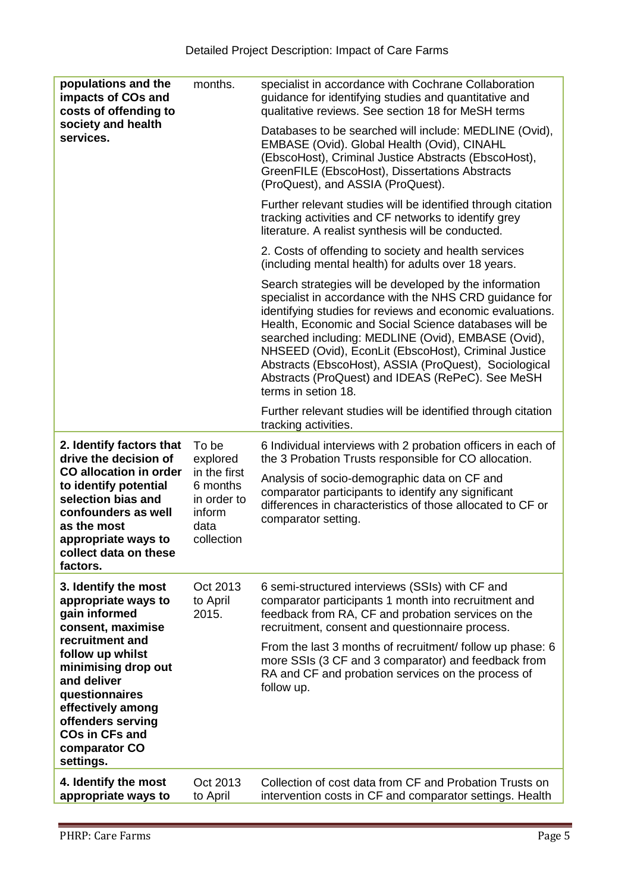| populations and the<br>impacts of COs and<br>costs of offending to<br>society and health<br>services.                                                                                                                                                                             | months.                                                                                      | specialist in accordance with Cochrane Collaboration<br>guidance for identifying studies and quantitative and<br>qualitative reviews. See section 18 for MeSH terms                                                                                                                                                                                                                                                                                                                      |
|-----------------------------------------------------------------------------------------------------------------------------------------------------------------------------------------------------------------------------------------------------------------------------------|----------------------------------------------------------------------------------------------|------------------------------------------------------------------------------------------------------------------------------------------------------------------------------------------------------------------------------------------------------------------------------------------------------------------------------------------------------------------------------------------------------------------------------------------------------------------------------------------|
|                                                                                                                                                                                                                                                                                   |                                                                                              | Databases to be searched will include: MEDLINE (Ovid),<br>EMBASE (Ovid). Global Health (Ovid), CINAHL<br>(EbscoHost), Criminal Justice Abstracts (EbscoHost),<br>GreenFILE (EbscoHost), Dissertations Abstracts<br>(ProQuest), and ASSIA (ProQuest).                                                                                                                                                                                                                                     |
|                                                                                                                                                                                                                                                                                   |                                                                                              | Further relevant studies will be identified through citation<br>tracking activities and CF networks to identify grey<br>literature. A realist synthesis will be conducted.                                                                                                                                                                                                                                                                                                               |
|                                                                                                                                                                                                                                                                                   |                                                                                              | 2. Costs of offending to society and health services<br>(including mental health) for adults over 18 years.                                                                                                                                                                                                                                                                                                                                                                              |
|                                                                                                                                                                                                                                                                                   |                                                                                              | Search strategies will be developed by the information<br>specialist in accordance with the NHS CRD guidance for<br>identifying studies for reviews and economic evaluations.<br>Health, Economic and Social Science databases will be<br>searched including: MEDLINE (Ovid), EMBASE (Ovid),<br>NHSEED (Ovid), EconLit (EbscoHost), Criminal Justice<br>Abstracts (EbscoHost), ASSIA (ProQuest), Sociological<br>Abstracts (ProQuest) and IDEAS (RePeC). See MeSH<br>terms in setion 18. |
|                                                                                                                                                                                                                                                                                   |                                                                                              | Further relevant studies will be identified through citation<br>tracking activities.                                                                                                                                                                                                                                                                                                                                                                                                     |
| 2. Identify factors that<br>drive the decision of<br><b>CO allocation in order</b><br>to identify potential<br>selection bias and<br>confounders as well<br>as the most<br>appropriate ways to<br>collect data on these<br>factors.                                               | To be<br>explored<br>in the first<br>6 months<br>in order to<br>inform<br>data<br>collection | 6 Individual interviews with 2 probation officers in each of<br>the 3 Probation Trusts responsible for CO allocation.                                                                                                                                                                                                                                                                                                                                                                    |
|                                                                                                                                                                                                                                                                                   |                                                                                              | Analysis of socio-demographic data on CF and<br>comparator participants to identify any significant<br>differences in characteristics of those allocated to CF or<br>comparator setting.                                                                                                                                                                                                                                                                                                 |
| 3. Identify the most<br>appropriate ways to<br>gain informed<br>consent, maximise<br>recruitment and<br>follow up whilst<br>minimising drop out<br>and deliver<br>questionnaires<br>effectively among<br>offenders serving<br><b>COs in CFs and</b><br>comparator CO<br>settings. | Oct 2013<br>to April<br>2015.                                                                | 6 semi-structured interviews (SSIs) with CF and<br>comparator participants 1 month into recruitment and<br>feedback from RA, CF and probation services on the<br>recruitment, consent and questionnaire process.                                                                                                                                                                                                                                                                         |
|                                                                                                                                                                                                                                                                                   |                                                                                              | From the last 3 months of recruitment/ follow up phase: 6<br>more SSIs (3 CF and 3 comparator) and feedback from<br>RA and CF and probation services on the process of<br>follow up.                                                                                                                                                                                                                                                                                                     |
| 4. Identify the most<br>appropriate ways to                                                                                                                                                                                                                                       | Oct 2013<br>to April                                                                         | Collection of cost data from CF and Probation Trusts on<br>intervention costs in CF and comparator settings. Health                                                                                                                                                                                                                                                                                                                                                                      |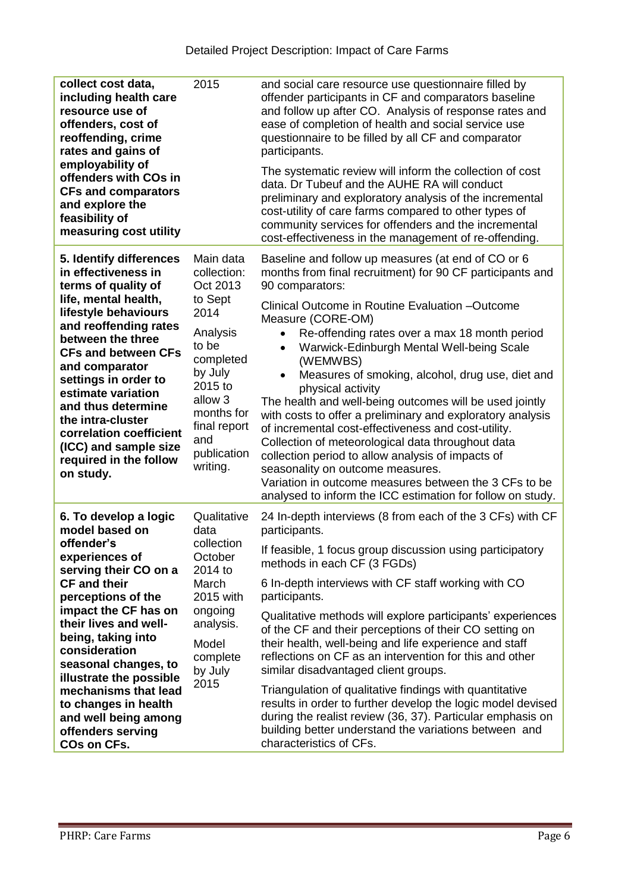| collect cost data,<br>including health care<br>resource use of<br>offenders, cost of<br>reoffending, crime<br>rates and gains of<br>employability of<br>offenders with COs in<br><b>CFs and comparators</b><br>and explore the<br>feasibility of<br>measuring cost utility                                                                                                                                  | 2015                                                                                                                                                                                                  | and social care resource use questionnaire filled by<br>offender participants in CF and comparators baseline<br>and follow up after CO. Analysis of response rates and<br>ease of completion of health and social service use<br>questionnaire to be filled by all CF and comparator<br>participants.<br>The systematic review will inform the collection of cost<br>data. Dr Tubeuf and the AUHE RA will conduct<br>preliminary and exploratory analysis of the incremental<br>cost-utility of care farms compared to other types of<br>community services for offenders and the incremental<br>cost-effectiveness in the management of re-offending.                                                                                                                                                                                                                                    |
|-------------------------------------------------------------------------------------------------------------------------------------------------------------------------------------------------------------------------------------------------------------------------------------------------------------------------------------------------------------------------------------------------------------|-------------------------------------------------------------------------------------------------------------------------------------------------------------------------------------------------------|-------------------------------------------------------------------------------------------------------------------------------------------------------------------------------------------------------------------------------------------------------------------------------------------------------------------------------------------------------------------------------------------------------------------------------------------------------------------------------------------------------------------------------------------------------------------------------------------------------------------------------------------------------------------------------------------------------------------------------------------------------------------------------------------------------------------------------------------------------------------------------------------|
| 5. Identify differences<br>in effectiveness in<br>terms of quality of<br>life, mental health,<br>lifestyle behaviours<br>and reoffending rates<br>between the three<br><b>CFs and between CFs</b><br>and comparator<br>settings in order to<br>estimate variation<br>and thus determine<br>the intra-cluster<br>correlation coefficient<br>(ICC) and sample size<br>required in the follow<br>on study.     | Main data<br>collection:<br>Oct 2013<br>to Sept<br>2014<br>Analysis<br>to be<br>completed<br>by July<br>2015 to<br>allow <sub>3</sub><br>months for<br>final report<br>and<br>publication<br>writing. | Baseline and follow up measures (at end of CO or 6<br>months from final recruitment) for 90 CF participants and<br>90 comparators:<br>Clinical Outcome in Routine Evaluation -Outcome<br>Measure (CORE-OM)<br>Re-offending rates over a max 18 month period<br>$\bullet$<br>Warwick-Edinburgh Mental Well-being Scale<br>$\bullet$<br>(WEMWBS)<br>Measures of smoking, alcohol, drug use, diet and<br>$\bullet$<br>physical activity<br>The health and well-being outcomes will be used jointly<br>with costs to offer a preliminary and exploratory analysis<br>of incremental cost-effectiveness and cost-utility.<br>Collection of meteorological data throughout data<br>collection period to allow analysis of impacts of<br>seasonality on outcome measures.<br>Variation in outcome measures between the 3 CFs to be<br>analysed to inform the ICC estimation for follow on study. |
| 6. To develop a logic<br>model based on<br>offender's<br>experiences of<br>serving their CO on a<br><b>CF and their</b><br>perceptions of the<br>impact the CF has on<br>their lives and well-<br>being, taking into<br>consideration<br>seasonal changes, to<br>illustrate the possible<br>mechanisms that lead<br>to changes in health<br>and well being among<br>offenders serving<br><b>COs on CFs.</b> | Qualitative<br>data<br>collection<br>October<br>2014 to<br>March<br>2015 with<br>ongoing<br>analysis.<br>Model<br>complete<br>by July<br>2015                                                         | 24 In-depth interviews (8 from each of the 3 CFs) with CF<br>participants.<br>If feasible, 1 focus group discussion using participatory<br>methods in each CF (3 FGDs)<br>6 In-depth interviews with CF staff working with CO<br>participants.<br>Qualitative methods will explore participants' experiences<br>of the CF and their perceptions of their CO setting on<br>their health, well-being and life experience and staff<br>reflections on CF as an intervention for this and other<br>similar disadvantaged client groups.<br>Triangulation of qualitative findings with quantitative<br>results in order to further develop the logic model devised<br>during the realist review (36, 37). Particular emphasis on<br>building better understand the variations between and<br>characteristics of CFs.                                                                           |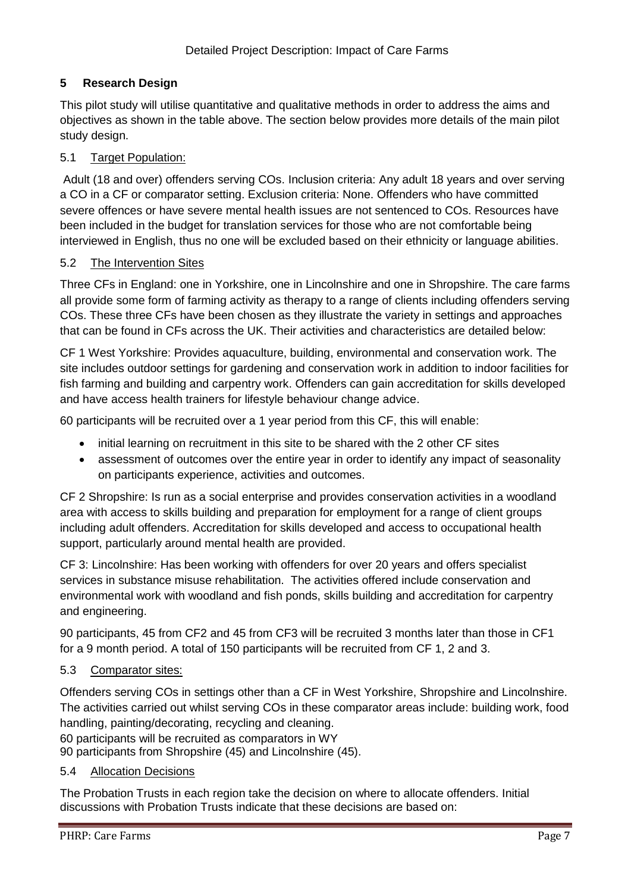## **5 Research Design**

This pilot study will utilise quantitative and qualitative methods in order to address the aims and objectives as shown in the table above. The section below provides more details of the main pilot study design.

### 5.1 Target Population:

Adult (18 and over) offenders serving COs. Inclusion criteria: Any adult 18 years and over serving a CO in a CF or comparator setting. Exclusion criteria: None. Offenders who have committed severe offences or have severe mental health issues are not sentenced to COs. Resources have been included in the budget for translation services for those who are not comfortable being interviewed in English, thus no one will be excluded based on their ethnicity or language abilities.

#### 5.2 The Intervention Sites

Three CFs in England: one in Yorkshire, one in Lincolnshire and one in Shropshire. The care farms all provide some form of farming activity as therapy to a range of clients including offenders serving COs. These three CFs have been chosen as they illustrate the variety in settings and approaches that can be found in CFs across the UK. Their activities and characteristics are detailed below:

CF 1 West Yorkshire: Provides aquaculture, building, environmental and conservation work. The site includes outdoor settings for gardening and conservation work in addition to indoor facilities for fish farming and building and carpentry work. Offenders can gain accreditation for skills developed and have access health trainers for lifestyle behaviour change advice.

60 participants will be recruited over a 1 year period from this CF, this will enable:

- initial learning on recruitment in this site to be shared with the 2 other CF sites
- assessment of outcomes over the entire year in order to identify any impact of seasonality on participants experience, activities and outcomes.

CF 2 Shropshire: Is run as a social enterprise and provides conservation activities in a woodland area with access to skills building and preparation for employment for a range of client groups including adult offenders. Accreditation for skills developed and access to occupational health support, particularly around mental health are provided.

CF 3: Lincolnshire: Has been working with offenders for over 20 years and offers specialist services in substance misuse rehabilitation. The activities offered include conservation and environmental work with woodland and fish ponds, skills building and accreditation for carpentry and engineering.

90 participants, 45 from CF2 and 45 from CF3 will be recruited 3 months later than those in CF1 for a 9 month period. A total of 150 participants will be recruited from CF 1, 2 and 3.

#### 5.3 Comparator sites:

Offenders serving COs in settings other than a CF in West Yorkshire, Shropshire and Lincolnshire. The activities carried out whilst serving COs in these comparator areas include: building work, food handling, painting/decorating, recycling and cleaning.

60 participants will be recruited as comparators in WY 90 participants from Shropshire (45) and Lincolnshire (45).

#### 5.4 Allocation Decisions

The Probation Trusts in each region take the decision on where to allocate offenders. Initial discussions with Probation Trusts indicate that these decisions are based on: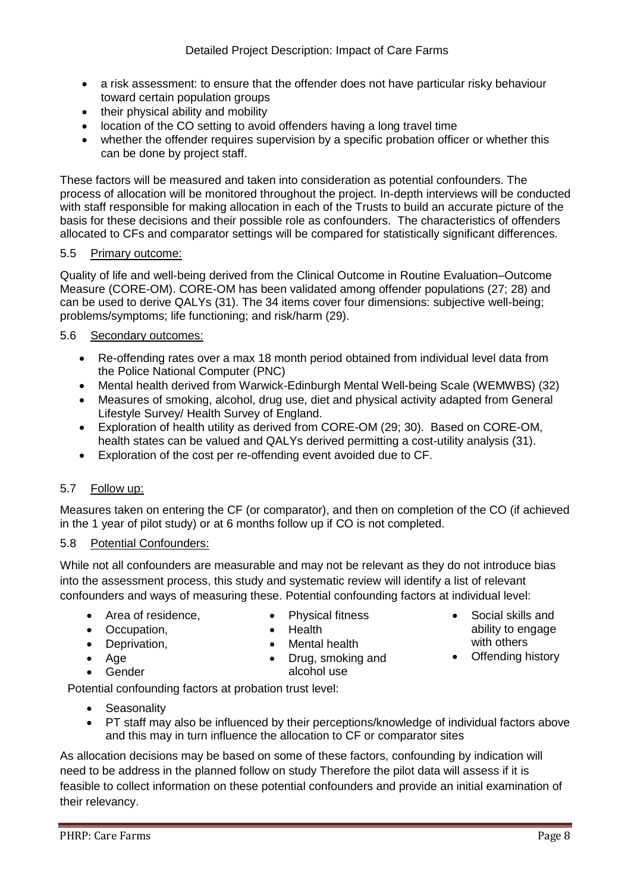- a risk assessment: to ensure that the offender does not have particular risky behaviour toward certain population groups
- their physical ability and mobility
- location of the CO setting to avoid offenders having a long travel time
- whether the offender requires supervision by a specific probation officer or whether this can be done by project staff.

These factors will be measured and taken into consideration as potential confounders. The process of allocation will be monitored throughout the project. In-depth interviews will be conducted with staff responsible for making allocation in each of the Trusts to build an accurate picture of the basis for these decisions and their possible role as confounders. The characteristics of offenders allocated to CFs and comparator settings will be compared for statistically significant differences.

#### 5.5 Primary outcome:

Quality of life and well-being derived from the Clinical Outcome in Routine Evaluation–Outcome Measure (CORE-OM). CORE-OM has been validated among offender populations (27; 28) and can be used to derive QALYs (31). The 34 items cover four dimensions: subjective well-being; problems/symptoms; life functioning; and risk/harm (29).

#### 5.6 Secondary outcomes:

- Re-offending rates over a max 18 month period obtained from individual level data from the Police National Computer (PNC)
- Mental health derived from Warwick-Edinburgh Mental Well-being Scale (WEMWBS) (32)
- Measures of smoking, alcohol, drug use, diet and physical activity adapted from General Lifestyle Survey/ Health Survey of England.
- Exploration of health utility as derived from CORE-OM (29; 30). Based on CORE-OM, health states can be valued and QALYs derived permitting a cost-utility analysis (31).
- Exploration of the cost per re-offending event avoided due to CF.

#### 5.7 Follow up:

Measures taken on entering the CF (or comparator), and then on completion of the CO (if achieved in the 1 year of pilot study) or at 6 months follow up if CO is not completed.

#### 5.8 Potential Confounders:

While not all confounders are measurable and may not be relevant as they do not introduce bias into the assessment process, this study and systematic review will identify a list of relevant confounders and ways of measuring these. Potential confounding factors at individual level:

- Area of residence.
- Physical fitness Health
- Occupation, • Deprivation,
- Age
- **•** Gender
- Mental health
- Drug, smoking and alcohol use

Potential confounding factors at probation trust level:

- **Seasonality**
- PT staff may also be influenced by their perceptions/knowledge of individual factors above and this may in turn influence the allocation to CF or comparator sites

As allocation decisions may be based on some of these factors, confounding by indication will need to be address in the planned follow on study Therefore the pilot data will assess if it is feasible to collect information on these potential confounders and provide an initial examination of their relevancy.

- Social skills and ability to engage with others
- Offending history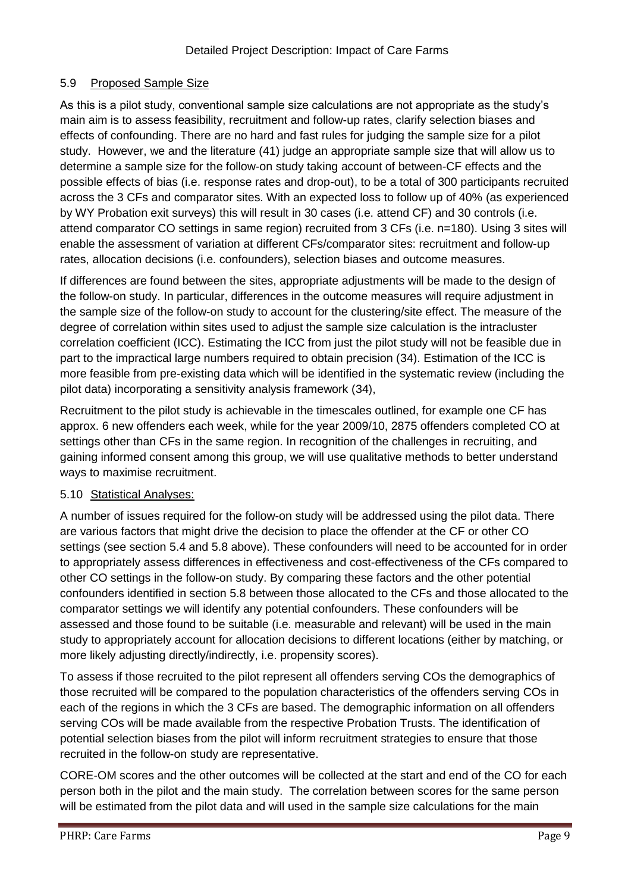## 5.9 Proposed Sample Size

As this is a pilot study, conventional sample size calculations are not appropriate as the study's main aim is to assess feasibility, recruitment and follow-up rates, clarify selection biases and effects of confounding. There are no hard and fast rules for judging the sample size for a pilot study. However, we and the literature (41) judge an appropriate sample size that will allow us to determine a sample size for the follow-on study taking account of between-CF effects and the possible effects of bias (i.e. response rates and drop-out), to be a total of 300 participants recruited across the 3 CFs and comparator sites. With an expected loss to follow up of 40% (as experienced by WY Probation exit surveys) this will result in 30 cases (i.e. attend CF) and 30 controls (i.e. attend comparator CO settings in same region) recruited from 3 CFs (i.e. n=180). Using 3 sites will enable the assessment of variation at different CFs/comparator sites: recruitment and follow-up rates, allocation decisions (i.e. confounders), selection biases and outcome measures.

If differences are found between the sites, appropriate adjustments will be made to the design of the follow-on study. In particular, differences in the outcome measures will require adjustment in the sample size of the follow-on study to account for the clustering/site effect. The measure of the degree of correlation within sites used to adjust the sample size calculation is the intracluster correlation coefficient (ICC). Estimating the ICC from just the pilot study will not be feasible due in part to the impractical large numbers required to obtain precision (34). Estimation of the ICC is more feasible from pre-existing data which will be identified in the systematic review (including the pilot data) incorporating a sensitivity analysis framework (34),

Recruitment to the pilot study is achievable in the timescales outlined, for example one CF has approx. 6 new offenders each week, while for the year 2009/10, 2875 offenders completed CO at settings other than CFs in the same region. In recognition of the challenges in recruiting, and gaining informed consent among this group, we will use qualitative methods to better understand ways to maximise recruitment.

#### 5.10 Statistical Analyses:

A number of issues required for the follow-on study will be addressed using the pilot data. There are various factors that might drive the decision to place the offender at the CF or other CO settings (see section 5.4 and 5.8 above). These confounders will need to be accounted for in order to appropriately assess differences in effectiveness and cost-effectiveness of the CFs compared to other CO settings in the follow-on study. By comparing these factors and the other potential confounders identified in section 5.8 between those allocated to the CFs and those allocated to the comparator settings we will identify any potential confounders. These confounders will be assessed and those found to be suitable (i.e. measurable and relevant) will be used in the main study to appropriately account for allocation decisions to different locations (either by matching, or more likely adjusting directly/indirectly, i.e. propensity scores).

To assess if those recruited to the pilot represent all offenders serving COs the demographics of those recruited will be compared to the population characteristics of the offenders serving COs in each of the regions in which the 3 CFs are based. The demographic information on all offenders serving COs will be made available from the respective Probation Trusts. The identification of potential selection biases from the pilot will inform recruitment strategies to ensure that those recruited in the follow-on study are representative.

CORE-OM scores and the other outcomes will be collected at the start and end of the CO for each person both in the pilot and the main study. The correlation between scores for the same person will be estimated from the pilot data and will used in the sample size calculations for the main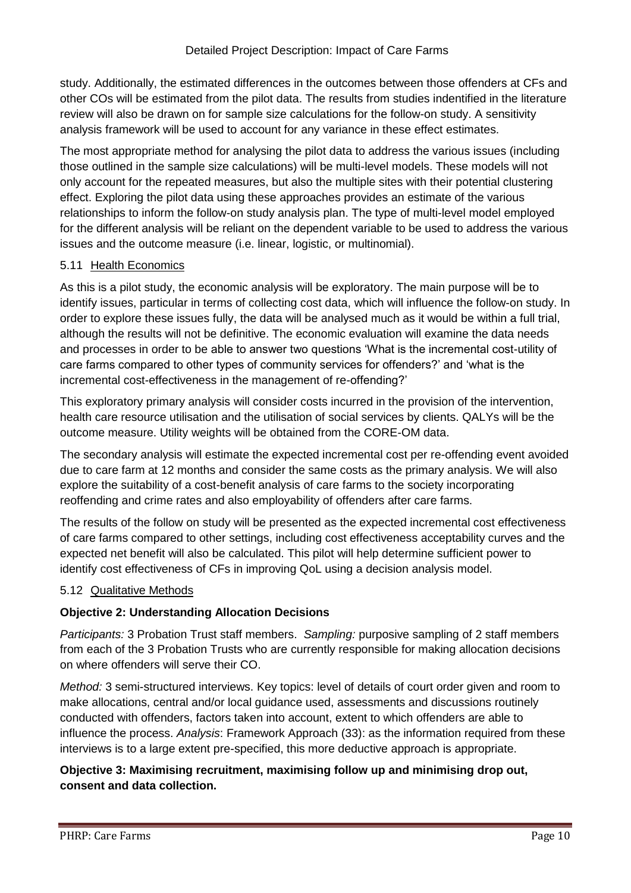study. Additionally, the estimated differences in the outcomes between those offenders at CFs and other COs will be estimated from the pilot data. The results from studies indentified in the literature review will also be drawn on for sample size calculations for the follow-on study. A sensitivity analysis framework will be used to account for any variance in these effect estimates.

The most appropriate method for analysing the pilot data to address the various issues (including those outlined in the sample size calculations) will be multi-level models. These models will not only account for the repeated measures, but also the multiple sites with their potential clustering effect. Exploring the pilot data using these approaches provides an estimate of the various relationships to inform the follow-on study analysis plan. The type of multi-level model employed for the different analysis will be reliant on the dependent variable to be used to address the various issues and the outcome measure (i.e. linear, logistic, or multinomial).

#### 5.11 Health Economics

As this is a pilot study, the economic analysis will be exploratory. The main purpose will be to identify issues, particular in terms of collecting cost data, which will influence the follow-on study. In order to explore these issues fully, the data will be analysed much as it would be within a full trial, although the results will not be definitive. The economic evaluation will examine the data needs and processes in order to be able to answer two questions 'What is the incremental cost-utility of care farms compared to other types of community services for offenders?' and 'what is the incremental cost-effectiveness in the management of re-offending?'

This exploratory primary analysis will consider costs incurred in the provision of the intervention, health care resource utilisation and the utilisation of social services by clients. QALYs will be the outcome measure. Utility weights will be obtained from the CORE-OM data.

The secondary analysis will estimate the expected incremental cost per re-offending event avoided due to care farm at 12 months and consider the same costs as the primary analysis. We will also explore the suitability of a cost-benefit analysis of care farms to the society incorporating reoffending and crime rates and also employability of offenders after care farms.

The results of the follow on study will be presented as the expected incremental cost effectiveness of care farms compared to other settings, including cost effectiveness acceptability curves and the expected net benefit will also be calculated. This pilot will help determine sufficient power to identify cost effectiveness of CFs in improving QoL using a decision analysis model.

## 5.12 Qualitative Methods

## **Objective 2: Understanding Allocation Decisions**

*Participants:* 3 Probation Trust staff members. *Sampling:* purposive sampling of 2 staff members from each of the 3 Probation Trusts who are currently responsible for making allocation decisions on where offenders will serve their CO.

*Method:* 3 semi-structured interviews. Key topics: level of details of court order given and room to make allocations, central and/or local guidance used, assessments and discussions routinely conducted with offenders, factors taken into account, extent to which offenders are able to influence the process. *Analysis*: Framework Approach (33): as the information required from these interviews is to a large extent pre-specified, this more deductive approach is appropriate.

## **Objective 3: Maximising recruitment, maximising follow up and minimising drop out, consent and data collection.**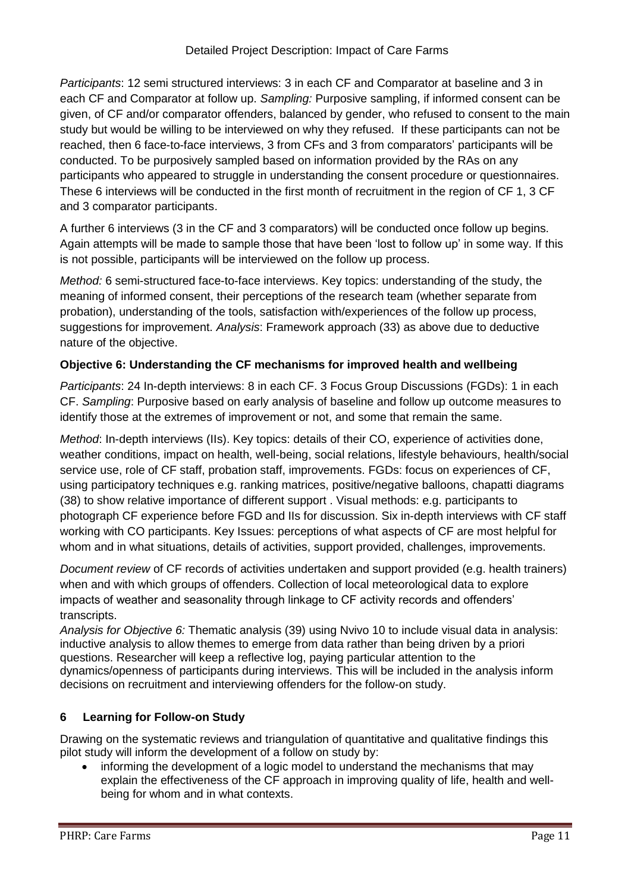*Participants*: 12 semi structured interviews: 3 in each CF and Comparator at baseline and 3 in each CF and Comparator at follow up. *Sampling:* Purposive sampling, if informed consent can be given, of CF and/or comparator offenders, balanced by gender, who refused to consent to the main study but would be willing to be interviewed on why they refused. If these participants can not be reached, then 6 face-to-face interviews, 3 from CFs and 3 from comparators' participants will be conducted. To be purposively sampled based on information provided by the RAs on any participants who appeared to struggle in understanding the consent procedure or questionnaires. These 6 interviews will be conducted in the first month of recruitment in the region of CF 1, 3 CF and 3 comparator participants.

A further 6 interviews (3 in the CF and 3 comparators) will be conducted once follow up begins. Again attempts will be made to sample those that have been 'lost to follow up' in some way. If this is not possible, participants will be interviewed on the follow up process.

*Method:* 6 semi-structured face-to-face interviews. Key topics: understanding of the study, the meaning of informed consent, their perceptions of the research team (whether separate from probation), understanding of the tools, satisfaction with/experiences of the follow up process, suggestions for improvement. *Analysis*: Framework approach (33) as above due to deductive nature of the objective.

## **Objective 6: Understanding the CF mechanisms for improved health and wellbeing**

*Participants*: 24 In-depth interviews: 8 in each CF. 3 Focus Group Discussions (FGDs): 1 in each CF. *Sampling*: Purposive based on early analysis of baseline and follow up outcome measures to identify those at the extremes of improvement or not, and some that remain the same.

*Method*: In-depth interviews (IIs). Key topics: details of their CO, experience of activities done, weather conditions, impact on health, well-being, social relations, lifestyle behaviours, health/social service use, role of CF staff, probation staff, improvements. FGDs: focus on experiences of CF, using participatory techniques e.g. ranking matrices, positive/negative balloons, chapatti diagrams (38) to show relative importance of different support . Visual methods: e.g. participants to photograph CF experience before FGD and IIs for discussion. Six in-depth interviews with CF staff working with CO participants. Key Issues: perceptions of what aspects of CF are most helpful for whom and in what situations, details of activities, support provided, challenges, improvements.

*Document review* of CF records of activities undertaken and support provided (e.g. health trainers) when and with which groups of offenders. Collection of local meteorological data to explore impacts of weather and seasonality through linkage to CF activity records and offenders' transcripts.

*Analysis for Objective 6:* Thematic analysis (39) using Nvivo 10 to include visual data in analysis: inductive analysis to allow themes to emerge from data rather than being driven by a priori questions. Researcher will keep a reflective log, paying particular attention to the dynamics/openness of participants during interviews. This will be included in the analysis inform decisions on recruitment and interviewing offenders for the follow-on study.

## **6 Learning for Follow-on Study**

Drawing on the systematic reviews and triangulation of quantitative and qualitative findings this pilot study will inform the development of a follow on study by:

 informing the development of a logic model to understand the mechanisms that may explain the effectiveness of the CF approach in improving quality of life, health and wellbeing for whom and in what contexts.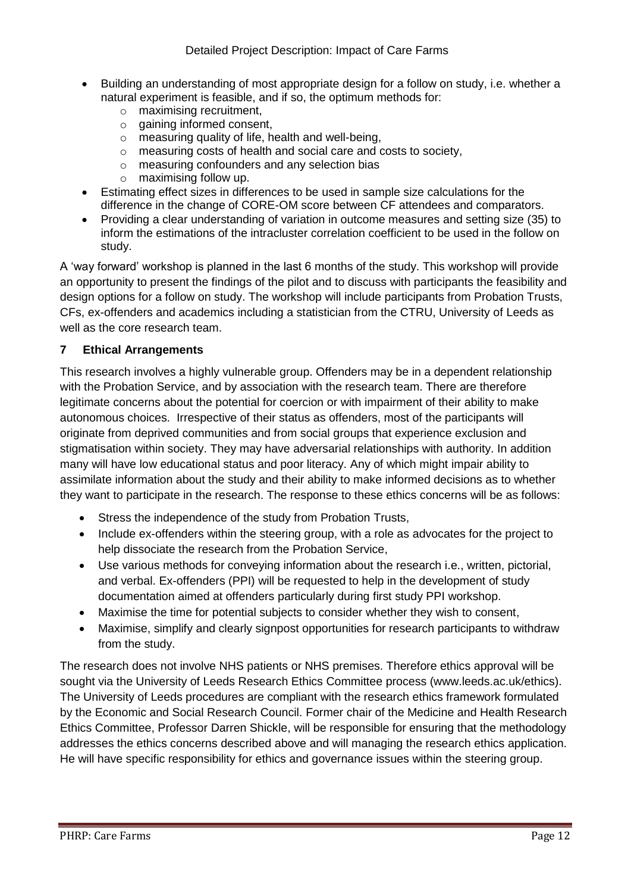- Building an understanding of most appropriate design for a follow on study, i.e. whether a natural experiment is feasible, and if so, the optimum methods for:
	- o maximising recruitment,
	- o gaining informed consent,
	- o measuring quality of life, health and well-being,
	- o measuring costs of health and social care and costs to society,
	- o measuring confounders and any selection bias
	- o maximising follow up.
- Estimating effect sizes in differences to be used in sample size calculations for the difference in the change of CORE-OM score between CF attendees and comparators.
- Providing a clear understanding of variation in outcome measures and setting size (35) to inform the estimations of the intracluster correlation coefficient to be used in the follow on study.

A 'way forward' workshop is planned in the last 6 months of the study. This workshop will provide an opportunity to present the findings of the pilot and to discuss with participants the feasibility and design options for a follow on study. The workshop will include participants from Probation Trusts, CFs, ex-offenders and academics including a statistician from the CTRU, University of Leeds as well as the core research team.

#### **7 Ethical Arrangements**

This research involves a highly vulnerable group. Offenders may be in a dependent relationship with the Probation Service, and by association with the research team. There are therefore legitimate concerns about the potential for coercion or with impairment of their ability to make autonomous choices. Irrespective of their status as offenders, most of the participants will originate from deprived communities and from social groups that experience exclusion and stigmatisation within society. They may have adversarial relationships with authority. In addition many will have low educational status and poor literacy. Any of which might impair ability to assimilate information about the study and their ability to make informed decisions as to whether they want to participate in the research. The response to these ethics concerns will be as follows:

- Stress the independence of the study from Probation Trusts,
- Include ex-offenders within the steering group, with a role as advocates for the project to help dissociate the research from the Probation Service,
- Use various methods for conveying information about the research i.e., written, pictorial, and verbal. Ex-offenders (PPI) will be requested to help in the development of study documentation aimed at offenders particularly during first study PPI workshop.
- Maximise the time for potential subjects to consider whether they wish to consent,
- Maximise, simplify and clearly signpost opportunities for research participants to withdraw from the study.

The research does not involve NHS patients or NHS premises. Therefore ethics approval will be sought via the University of Leeds Research Ethics Committee process (www.leeds.ac.uk/ethics). The University of Leeds procedures are compliant with the research ethics framework formulated by the Economic and Social Research Council. Former chair of the Medicine and Health Research Ethics Committee, Professor Darren Shickle, will be responsible for ensuring that the methodology addresses the ethics concerns described above and will managing the research ethics application. He will have specific responsibility for ethics and governance issues within the steering group.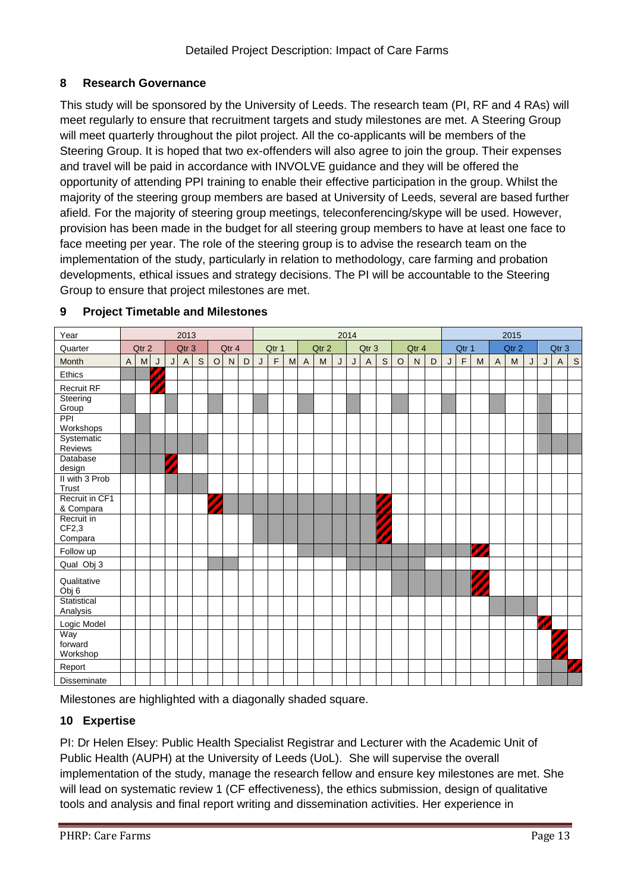## **8 Research Governance**

This study will be sponsored by the University of Leeds. The research team (PI, RF and 4 RAs) will meet regularly to ensure that recruitment targets and study milestones are met. A Steering Group will meet quarterly throughout the pilot project. All the co-applicants will be members of the Steering Group. It is hoped that two ex-offenders will also agree to join the group. Their expenses and travel will be paid in accordance with INVOLVE guidance and they will be offered the opportunity of attending PPI training to enable their effective participation in the group. Whilst the majority of the steering group members are based at University of Leeds, several are based further afield. For the majority of steering group meetings, teleconferencing/skype will be used. However, provision has been made in the budget for all steering group members to have at least one face to face meeting per year. The role of the steering group is to advise the research team on the implementation of the study, particularly in relation to methodology, care farming and probation developments, ethical issues and strategy decisions. The PI will be accountable to the Steering Group to ensure that project milestones are met.



#### **9 Project Timetable and Milestones**

Milestones are highlighted with a diagonally shaded square.

## **10 Expertise**

PI: Dr Helen Elsey: Public Health Specialist Registrar and Lecturer with the Academic Unit of Public Health (AUPH) at the University of Leeds (UoL). She will supervise the overall implementation of the study, manage the research fellow and ensure key milestones are met. She will lead on systematic review 1 (CF effectiveness), the ethics submission, design of qualitative tools and analysis and final report writing and dissemination activities. Her experience in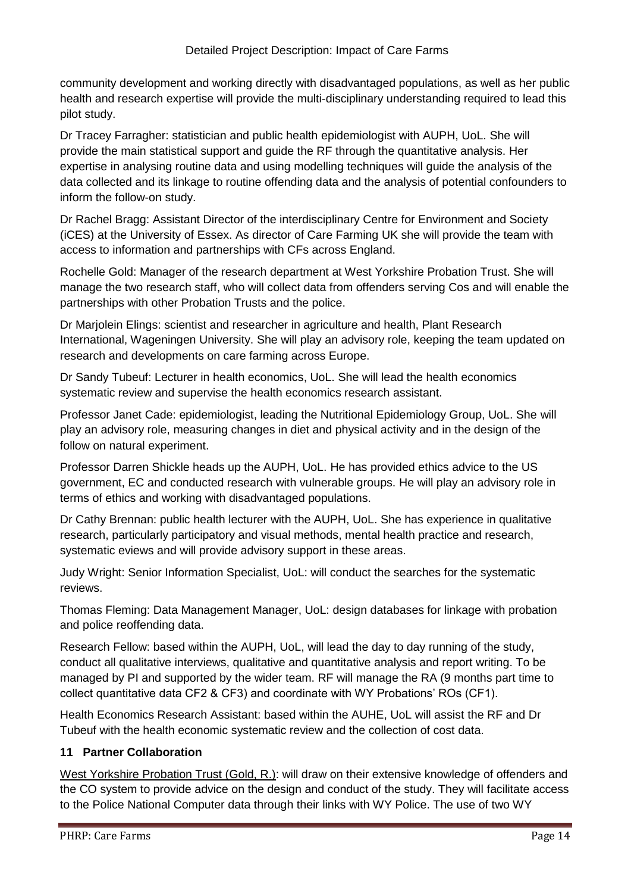community development and working directly with disadvantaged populations, as well as her public health and research expertise will provide the multi-disciplinary understanding required to lead this pilot study.

Dr Tracey Farragher: statistician and public health epidemiologist with AUPH, UoL. She will provide the main statistical support and guide the RF through the quantitative analysis. Her expertise in analysing routine data and using modelling techniques will guide the analysis of the data collected and its linkage to routine offending data and the analysis of potential confounders to inform the follow-on study.

Dr Rachel Bragg: Assistant Director of the interdisciplinary Centre for Environment and Society (iCES) at the University of Essex. As director of Care Farming UK she will provide the team with access to information and partnerships with CFs across England.

Rochelle Gold: Manager of the research department at West Yorkshire Probation Trust. She will manage the two research staff, who will collect data from offenders serving Cos and will enable the partnerships with other Probation Trusts and the police.

Dr Marjolein Elings: scientist and researcher in agriculture and health, Plant Research International, Wageningen University. She will play an advisory role, keeping the team updated on research and developments on care farming across Europe.

Dr Sandy Tubeuf: Lecturer in health economics, UoL. She will lead the health economics systematic review and supervise the health economics research assistant.

Professor Janet Cade: epidemiologist, leading the Nutritional Epidemiology Group, UoL. She will play an advisory role, measuring changes in diet and physical activity and in the design of the follow on natural experiment.

Professor Darren Shickle heads up the AUPH, UoL. He has provided ethics advice to the US government, EC and conducted research with vulnerable groups. He will play an advisory role in terms of ethics and working with disadvantaged populations.

Dr Cathy Brennan: public health lecturer with the AUPH, UoL. She has experience in qualitative research, particularly participatory and visual methods, mental health practice and research, systematic eviews and will provide advisory support in these areas.

Judy Wright: Senior Information Specialist, UoL: will conduct the searches for the systematic reviews.

Thomas Fleming: Data Management Manager, UoL: design databases for linkage with probation and police reoffending data.

Research Fellow: based within the AUPH, UoL, will lead the day to day running of the study, conduct all qualitative interviews, qualitative and quantitative analysis and report writing. To be managed by PI and supported by the wider team. RF will manage the RA (9 months part time to collect quantitative data CF2 & CF3) and coordinate with WY Probations' ROs (CF1).

Health Economics Research Assistant: based within the AUHE, UoL will assist the RF and Dr Tubeuf with the health economic systematic review and the collection of cost data.

## **11 Partner Collaboration**

West Yorkshire Probation Trust (Gold, R.): will draw on their extensive knowledge of offenders and the CO system to provide advice on the design and conduct of the study. They will facilitate access to the Police National Computer data through their links with WY Police. The use of two WY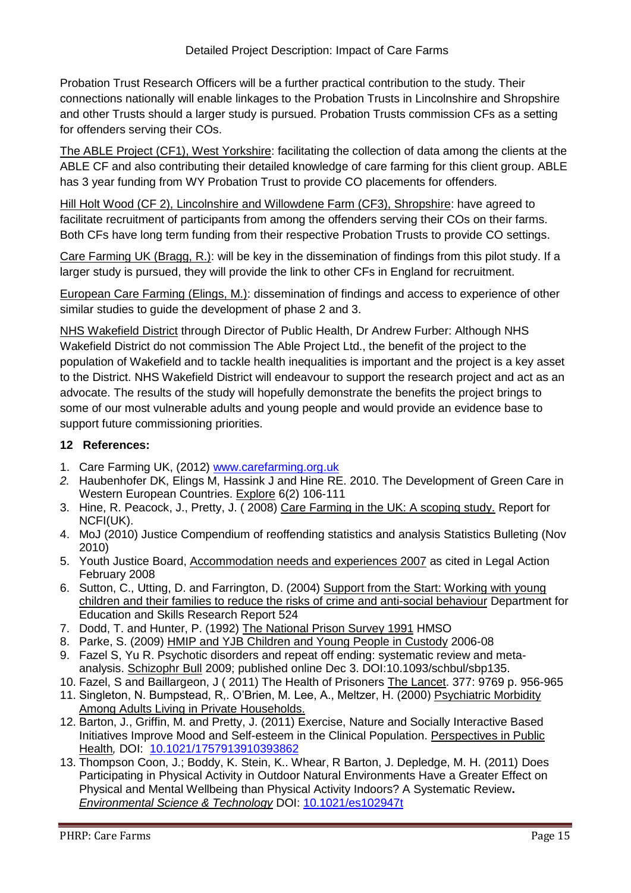Probation Trust Research Officers will be a further practical contribution to the study. Their connections nationally will enable linkages to the Probation Trusts in Lincolnshire and Shropshire and other Trusts should a larger study is pursued. Probation Trusts commission CFs as a setting for offenders serving their COs.

The ABLE Project (CF1), West Yorkshire: facilitating the collection of data among the clients at the ABLE CF and also contributing their detailed knowledge of care farming for this client group. ABLE has 3 year funding from WY Probation Trust to provide CO placements for offenders.

Hill Holt Wood (CF 2), Lincolnshire and Willowdene Farm (CF3), Shropshire: have agreed to facilitate recruitment of participants from among the offenders serving their COs on their farms. Both CFs have long term funding from their respective Probation Trusts to provide CO settings.

Care Farming UK (Bragg, R.): will be key in the dissemination of findings from this pilot study. If a larger study is pursued, they will provide the link to other CFs in England for recruitment.

European Care Farming (Elings, M.): dissemination of findings and access to experience of other similar studies to guide the development of phase 2 and 3.

NHS Wakefield District through Director of Public Health, Dr Andrew Furber: Although NHS Wakefield District do not commission The Able Project Ltd., the benefit of the project to the population of Wakefield and to tackle health inequalities is important and the project is a key asset to the District. NHS Wakefield District will endeavour to support the research project and act as an advocate. The results of the study will hopefully demonstrate the benefits the project brings to some of our most vulnerable adults and young people and would provide an evidence base to support future commissioning priorities.

### **12 References:**

- 1. Care Farming UK, (2012) [www.carefarming.org.uk](http://www.carefarming.org.uk/)
- *2.* Haubenhofer DK, Elings M, Hassink J and Hine RE. 2010. The Development of Green Care in Western European Countries. Explore 6(2) 106-111
- 3. Hine, R. Peacock, J., Pretty, J. ( 2008) Care Farming in the UK: A scoping study. Report for NCFI(UK).
- 4. MoJ (2010) Justice Compendium of reoffending statistics and analysis Statistics Bulleting (Nov 2010)
- 5. Youth Justice Board, Accommodation needs and experiences 2007 as cited in Legal Action February 2008
- 6. Sutton, C., Utting, D. and Farrington, D. (2004) Support from the Start: Working with young children and their families to reduce the risks of crime and anti-social behaviour Department for Education and Skills Research Report 524
- 7. Dodd, T. and Hunter, P. (1992) The National Prison Survey 1991 HMSO
- 8. Parke, S. (2009) HMIP and YJB Children and Young People in Custody 2006-08
- 9. Fazel S, Yu R. Psychotic disorders and repeat off ending: systematic review and metaanalysis. Schizophr Bull 2009; published online Dec 3. DOI:10.1093/schbul/sbp135.
- 10. Fazel, S and Baillargeon, J ( 2011) The Health of Prisoners The Lancet. 377: 9769 p. 956-965
- 11. Singleton, N. Bumpstead, R,. O'Brien, M. Lee, A., Meltzer, H. (2000) Psychiatric Morbidity Among Adults Living in Private Households.
- 12. Barton, J., Griffin, M. and Pretty, J. (2011) Exercise, Nature and Socially Interactive Based Initiatives Improve Mood and Self-esteem in the Clinical Population. Perspectives in Public Health*,* DOI: [10.1021/1757913910393862](http://rsh.sagepub.com/content/early/2011/02/06/1757913910393862.abstract)
- 13. Thompson Coon, J.; Boddy, K. Stein, K.. Whear, R Barton, J. Depledge, M. H. (2011) Does Participating in Physical Activity in Outdoor Natural Environments Have a Greater Effect on Physical and Mental Wellbeing than Physical Activity Indoors? A Systematic Review**.** *Environmental Science & Technology* DOI: [10.1021/es102947t](http://dx.doi.org/10.1021/es102947t)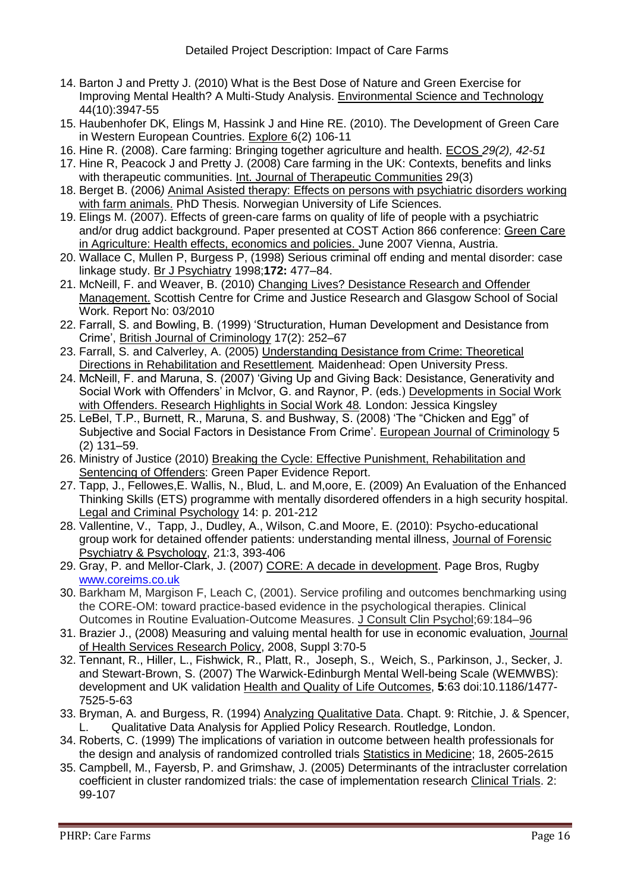- 14. Barton J and Pretty J. (2010) What is the Best Dose of Nature and Green Exercise for Improving Mental Health? A Multi-Study Analysis. Environmental Science and Technology 44(10):3947-55
- 15. Haubenhofer DK, Elings M, Hassink J and Hine RE. (2010). The Development of Green Care in Western European Countries. Explore 6(2) 106-11
- 16. Hine R. (2008). Care farming: Bringing together agriculture and health. ECOS *29(2), 42-51*
- 17. Hine R, Peacock J and Pretty J. (2008) Care farming in the UK: Contexts, benefits and links with therapeutic communities. Int. Journal of Therapeutic Communities 29(3)
- 18. Berget B. (2006*)* Animal Asisted therapy: Effects on persons with psychiatric disorders working with farm animals. PhD Thesis. Norwegian University of Life Sciences.
- 19. Elings M. (2007). Effects of green-care farms on quality of life of people with a psychiatric and/or drug addict background. Paper presented at COST Action 866 conference: Green Care in Agriculture: Health effects, economics and policies. June 2007 Vienna, Austria.
- 20. Wallace C, Mullen P, Burgess P, (1998) Serious criminal off ending and mental disorder: case linkage study. Br J Psychiatry 1998;**172:** 477–84.
- 21. McNeill, F. and Weaver, B. (2010) Changing Lives? Desistance Research and Offender Management. Scottish Centre for Crime and Justice Research and Glasgow School of Social Work. Report No: 03/2010
- 22. Farrall, S. and Bowling, B. (1999) 'Structuration, Human Development and Desistance from Crime', British Journal of Criminology 17(2): 252–67
- 23. Farrall, S. and Calverley, A. (2005) Understanding Desistance from Crime: Theoretical Directions in Rehabilitation and Resettlement*.* Maidenhead: Open University Press.
- 24. McNeill, F. and Maruna, S. (2007) 'Giving Up and Giving Back: Desistance, Generativity and Social Work with Offenders' in McIvor, G. and Raynor, P. (eds.) Developments in Social Work with Offenders. Research Highlights in Social Work 48*.* London: Jessica Kingsley
- 25. LeBel, T.P., Burnett, R., Maruna, S. and Bushway, S. (2008) 'The "Chicken and Egg" of Subjective and Social Factors in Desistance From Crime'. European Journal of Criminology 5 (2) 131–59.
- 26. Ministry of Justice (2010) Breaking the Cycle: Effective Punishment, Rehabilitation and Sentencing of Offenders: Green Paper Evidence Report.
- 27. Tapp, J., Fellowes,E. Wallis, N., Blud, L. and M,oore, E. (2009) An Evaluation of the Enhanced Thinking Skills (ETS) programme with mentally disordered offenders in a high security hospital. Legal and Criminal Psychology 14: p. 201-212
- 28. Vallentine, V., Tapp, J., Dudley, A., Wilson, C.and Moore, E. (2010): Psycho-educational group work for detained offender patients: understanding mental illness, Journal of Forensic Psychiatry & Psychology, 21:3, 393-406
- 29. Gray, P. and Mellor-Clark, J. (2007) CORE: A decade in development. Page Bros, Rugby [www.coreims.co.uk](http://www.coreims.co.uk/)
- 30. Barkham M, Margison F, Leach C, (2001). Service profiling and outcomes benchmarking using the CORE-OM: toward practice-based evidence in the psychological therapies. Clinical Outcomes in Routine Evaluation-Outcome Measures. J Consult Clin Psychol;69:184–96
- 31. Brazier J., (2008) Measuring and valuing mental health for use in economic evaluation, Journal of Health Services Research Policy, 2008, Suppl 3:70-5
- 32. Tennant, R., Hiller, L., Fishwick, R., Platt, R., Joseph, S., Weich, S., Parkinson, J., Secker, J. and Stewart-Brown, S. (2007) The Warwick-Edinburgh Mental Well-being Scale (WEMWBS): development and UK validation Health and Quality of Life Outcomes, **5**:63 doi:10.1186/1477- 7525-5-63
- 33. Bryman, A. and Burgess, R. (1994) Analyzing Qualitative Data. Chapt. 9: Ritchie, J. & Spencer, L. Qualitative Data Analysis for Applied Policy Research. Routledge, London.
- 34. Roberts, C. (1999) The implications of variation in outcome between health professionals for the design and analysis of randomized controlled trials Statistics in Medicine; 18, 2605-2615
- 35. Campbell, M., Fayersb, P. and Grimshaw, J. (2005) Determinants of the intracluster correlation coefficient in cluster randomized trials: the case of implementation research Clinical Trials. 2: 99-107